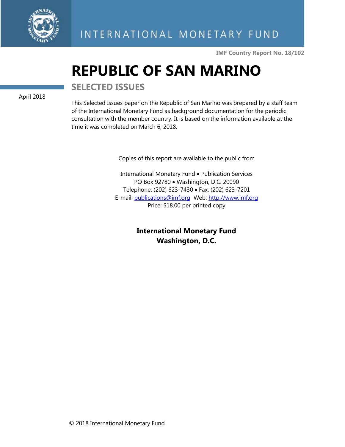

**IMF Country Report No. 18/102**

# **REPUBLIC OF SAN MARINO**

April 2018

**SELECTED ISSUES**

This Selected Issues paper on the Republic of San Marino was prepared by a staff team of the International Monetary Fund as background documentation for the periodic consultation with the member country. It is based on the information available at the time it was completed on March 6, 2018.

Copies of this report are available to the public from

International Monetary Fund • Publication Services PO Box 92780 • Washington, D.C. 20090 Telephone: (202) 623-7430 • Fax: (202) 623-7201 E-mail: [publications@imf.org](mailto:publications@imf.org) Web: [http://www.imf.org](http://0-www-imf-org.library.svsu.edu/) Price: \$18.00 per printed copy

> **International Monetary Fund Washington, D.C.**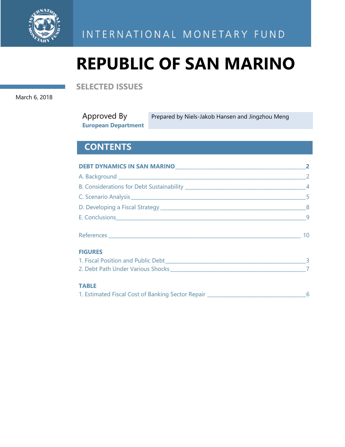

INTERNATIONAL MONETARY FUND

# **REPUBLIC OF SAN MARINO**

**SELECTED ISSUES** 

March 6, 2018

| Approved By                | Prepared by Niels-Jakob Hansen and Jingzhou Meng |
|----------------------------|--------------------------------------------------|
| <b>European Department</b> |                                                  |

## **CONTENTS**

|                                                                                  | $\mathbf{2}$    |  |
|----------------------------------------------------------------------------------|-----------------|--|
|                                                                                  |                 |  |
|                                                                                  |                 |  |
|                                                                                  |                 |  |
|                                                                                  |                 |  |
|                                                                                  |                 |  |
|                                                                                  | 10 <sup>°</sup> |  |
| <b>FIGURES</b>                                                                   |                 |  |
|                                                                                  |                 |  |
|                                                                                  |                 |  |
| <b>TABLE</b>                                                                     |                 |  |
| 1. Estimated Fiscal Cost of Banking Sector Repair ______________________________ | 6               |  |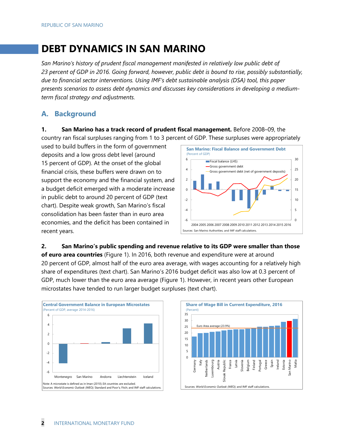## **DEBT DYNAMICS IN SAN MARINO**

*San Marino's history of prudent fiscal management manifested in relatively low public debt of 23 percent of GDP in 2016. Going forward, however, public debt is bound to rise, possibly substantially, due to financial sector interventions. Using IMF's debt sustainable analysis (DSA) tool, this paper presents scenarios to assess debt dynamics and discusses key considerations in developing a mediumterm fiscal strategy and adjustments.* 

### **A. Background**

**1. San Marino has a track record of prudent fiscal management.** Before 2008–09, the

country ran fiscal surpluses ranging from 1 to 3 percent of GDP. These surpluses were appropriately

used to build buffers in the form of government deposits and a low gross debt level (around 15 percent of GDP). At the onset of the global financial crisis, these buffers were drawn on to support the economy and the financial system, and a budget deficit emerged with a moderate increase in public debt to around 20 percent of GDP (text chart). Despite weak growth, San Marino's fiscal consolidation has been faster than in euro area economies, and the deficit has been contained in recent years.



#### **2. San Marino's public spending and revenue relative to its GDP were smaller than those**

**of euro area countries** (Figure 1). In 2016, both revenue and expenditure were at around 20 percent of GDP, almost half of the euro area average, with wages accounting for a relatively high share of expenditures (text chart). San Marino's 2016 budget deficit was also low at 0.3 percent of GDP, much lower than the euro area average (Figure 1). However, in recent years other European microstates have tended to run larger budget surpluses (text chart).



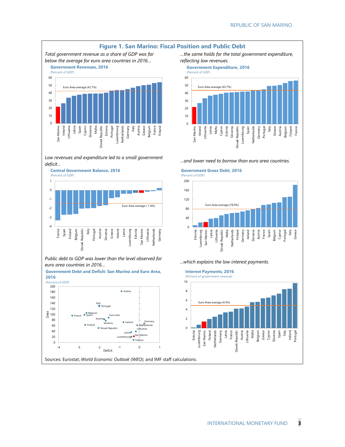

*Low revenues and expenditure led to a small government deficit… …and lower need to borrow than euro area countries.* 



*Public debt to GDP was lower than the level observed for euro area countries in 2016… ...which explains the low interest payments.* 



**Government Debt and Deficit: San Marino and Euro Area, 2016** 

 *…the same holds for the total government expenditure, reflecting low revenues.* 

#### **Government Expenditure, 2016**



#### **Government Gross Debt, 2016**



**Interest Payments, 2016**

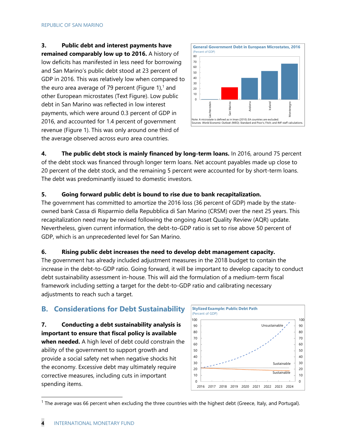**3. Public debt and interest payments have remained comparably low up to 2016.** A history of low deficits has manifested in less need for borrowing and San Marino's public debt stood at 23 percent of GDP in 2016. This was relatively low when compared to the euro area average of 79 percent (Figure 1), $<sup>1</sup>$  and</sup> other European microstates (Text Figure). Low public debt in San Marino was reflected in low interest payments, which were around 0.3 percent of GDP in 2016, and accounted for 1.4 percent of government revenue (Figure 1). This was only around one third of the average observed across euro area countries.



**4. The public debt stock is mainly financed by long-term loans.** In 2016, around 75 percent of the debt stock was financed through longer term loans. Net account payables made up close to 20 percent of the debt stock, and the remaining 5 percent were accounted for by short-term loans. The debt was predominantly issued to domestic investors.

#### **5. Going forward public debt is bound to rise due to bank recapitalization.**

The government has committed to amortize the 2016 loss (36 percent of GDP) made by the stateowned bank Cassa di Risparmio della Repubblica di San Marino (CRSM) over the next 25 years. This recapitalization need may be revised following the ongoing Asset Quality Review (AQR) update. Nevertheless, given current information, the debt-to-GDP ratio is set to rise above 50 percent of GDP, which is an unprecedented level for San Marino.

#### **6. Rising public debt increases the need to develop debt management capacity.**

The government has already included adjustment measures in the 2018 budget to contain the increase in the debt-to-GDP ratio. Going forward, it will be important to develop capacity to conduct debt sustainability assessment in-house. This will aid the formulation of a medium-term fiscal framework including setting a target for the debt-to-GDP ratio and calibrating necessary adjustments to reach such a target.

#### **B. Considerations for Debt Sustainability**

**7. Conducting a debt sustainability analysis is important to ensure that fiscal policy is available when needed.** A high level of debt could constrain the ability of the government to support growth and provide a social safety net when negative shocks hit the economy. Excessive debt may ultimately require corrective measures, including cuts in important spending items.



 $1$  The average was 66 percent when excluding the three countries with the highest debt (Greece, Italy, and Portugal).

-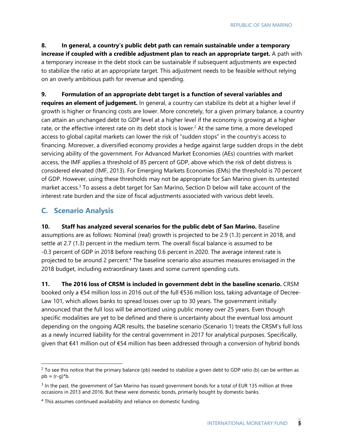**8. In general, a country's public debt path can remain sustainable under a temporary increase if coupled with a credible adjustment plan to reach an appropriate target.** A path with a temporary increase in the debt stock can be sustainable if subsequent adjustments are expected to stabilize the ratio at an appropriate target. This adjustment needs to be feasible without relying on an overly ambitious path for revenue and spending.

**9. Formulation of an appropriate debt target is a function of several variables and requires an element of judgement.** In general, a country can stabilize its debt at a higher level if growth is higher or financing costs are lower. More concretely, for a given primary balance, a country can attain an unchanged debt to GDP level at a higher level if the economy is growing at a higher rate, or the effective interest rate on its debt stock is lower.<sup>2</sup> At the same time, a more developed access to global capital markets can lower the risk of "sudden stops" in the country's access to financing. Moreover, a diversified economy provides a hedge against large sudden drops in the debt servicing ability of the government. For Advanced Market Economies (AEs) countries with market access, the IMF applies a threshold of 85 percent of GDP, above which the risk of debt distress is considered elevated (IMF, 2013). For Emerging Markets Economies (EMs) the threshold is 70 percent of GDP. However, using these thresholds may not be appropriate for San Marino given its untested market access.<sup>3</sup> To assess a debt target for San Marino, Section D below will take account of the interest rate burden and the size of fiscal adjustments associated with various debt levels.

### **C. Scenario Analysis**

-

**10. Staff has analyzed several scenarios for the public debt of San Marino.** Baseline assumptions are as follows: Nominal (real) growth is projected to be 2.9 (1.3) percent in 2018, and settle at 2.7 (1.3) percent in the medium term. The overall fiscal balance is assumed to be -0.3 percent of GDP in 2018 before reaching 0.6 percent in 2020. The average interest rate is projected to be around 2 percent.<sup>4</sup> The baseline scenario also assumes measures envisaged in the 2018 budget, including extraordinary taxes and some current spending cuts.

**11. The 2016 loss of CRSM is included in government debt in the baseline scenario.** CRSM booked only a €54 million loss in 2016 out of the full €536 million loss, taking advantage of Decree-Law 101, which allows banks to spread losses over up to 30 years. The government initially announced that the full loss will be amortized using public money over 25 years. Even though specific modalities are yet to be defined and there is uncertainty about the eventual loss amount depending on the ongoing AQR results, the baseline scenario (Scenario 1) treats the CRSM's full loss as a newly incurred liability for the central government in 2017 for analytical purposes. Specifically, given that €41 million out of €54 million has been addressed through a conversion of hybrid bonds

 $2$  To see this notice that the primary balance (pb) needed to stabilize a given debt to GDP ratio (b) can be written as  $pb \approx (r-q)^*b$ .

 $3$  In the past, the government of San Marino has issued government bonds for a total of EUR 135 million at three occasions in 2013 and 2016. But these were domestic bonds, primarily bought by domestic banks.

<sup>&</sup>lt;sup>4</sup> This assumes continued availability and reliance on domestic funding.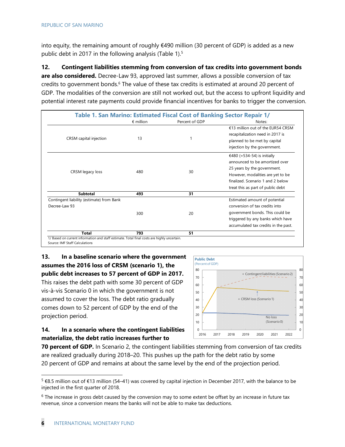into equity, the remaining amount of roughly €490 million (30 percent of GDP) is added as a new public debt in 2017 in the following analysis (Table 1).<sup>5</sup>

**12. Contingent liabilities stemming from conversion of tax credits into government bonds are also considered.** Decree-Law 93, approved last summer, allows a possible conversion of tax credits to government bonds.<sup>6</sup> The value of these tax credits is estimated at around 20 percent of GDP. The modalities of the conversion are still not worked out, but the access to upfront liquidity and potential interest rate payments could provide financial incentives for banks to trigger the conversion.

|                                           |                    | Table 1. San Marino: Estimated Fiscal Cost of Banking Sector Repair 1/ |                                                                                                                                                                                                             |
|-------------------------------------------|--------------------|------------------------------------------------------------------------|-------------------------------------------------------------------------------------------------------------------------------------------------------------------------------------------------------------|
|                                           | $\epsilon$ million | Percent of GDP                                                         | Notes:                                                                                                                                                                                                      |
| CRSM capital injection                    | 13                 |                                                                        | €13 million out of the EUR54 CRSM<br>recapitalization need in 2017 is<br>planned to be met by capital<br>injection by the government.                                                                       |
| CRSM legacy loss                          | 480                | 30                                                                     | €480 (=534-54) is initially<br>announced to be amortized over<br>25 years by the government.<br>However, modalities are yet to be<br>finalized. Scenario 1 and 2 below<br>treat this as part of public debt |
| Subtotal                                  | 493                | 31                                                                     |                                                                                                                                                                                                             |
| Contingent liability (estimate) from Bank |                    |                                                                        | Estimated amount of potential                                                                                                                                                                               |
| Decree-Law 93                             |                    |                                                                        | conversion of tax credits into                                                                                                                                                                              |
|                                           | 300                | 20                                                                     | government bonds. This could be                                                                                                                                                                             |
|                                           |                    |                                                                        | triggered by any banks which have                                                                                                                                                                           |
|                                           |                    |                                                                        | accumulated tax credits in the past.                                                                                                                                                                        |
| <b>Total</b>                              | 793                | 51                                                                     |                                                                                                                                                                                                             |

Source: IMF Staff Calculations

-

**13. In a baseline scenario where the government assumes the 2016 loss of CRSM (scenario 1), the public debt increases to 57 percent of GDP in 2017.** This raises the debt path with some 30 percent of GDP vis-à-vis Scenario 0 in which the government is not assumed to cover the loss. The debt ratio gradually comes down to 52 percent of GDP by the end of the projection period.



#### **14. In a scenario where the contingent liabilities materialize, the debt ratio increases further to**

**70 percent of GDP.** In Scenario 2, the contingent liabilities stemming from conversion of tax credits are realized gradually during 2018–20. This pushes up the path for the debt ratio by some 20 percent of GDP and remains at about the same level by the end of the projection period.

<sup>5 €8.5</sup> million out of €13 million (54–41) was covered by capital injection in December 2017, with the balance to be injected in the first quarter of 2018.

<sup>&</sup>lt;sup>6</sup> The increase in gross debt caused by the conversion may to some extent be offset by an increase in future tax revenue, since a conversion means the banks will not be able to make tax deductions.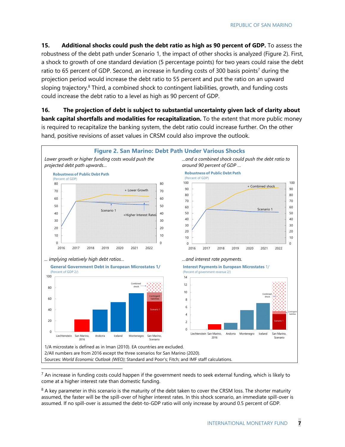**15.** Additional shocks could push the debt ratio as high as 90 percent of GDP. To assess the robustness of the debt path under Scenario 1, the impact of other shocks is analyzed (Figure 2). First, a shock to growth of one standard deviation (5 percentage points) for two years could raise the debt ratio to 65 percent of GDP. Second, an increase in funding costs of 300 basis points<sup>7</sup> during the projection period would increase the debt ratio to 55 percent and put the ratio on an upward sloping trajectory.<sup>8</sup> Third, a combined shock to contingent liabilities, growth, and funding costs could increase the debt ratio to a level as high as 90 percent of GDP.

**16. The projection of debt is subject to substantial uncertainty given lack of clarity about bank capital shortfalls and modalities for recapitalization.** To the extent that more public money is required to recapitalize the banking system, the debt ratio could increase further. On the other hand, positive revisions of asset values in CRSM could also improve the outlook.



 $<sup>7</sup>$  An increase in funding costs could happen if the government needs to seek external funding, which is likely to</sup> come at a higher interest rate than domestic funding.

 $8$  A key parameter in this scenario is the maturity of the debt taken to cover the CRSM loss. The shorter maturity assumed, the faster will be the spill-over of higher interest rates. In this shock scenario, an immediate spill-over is assumed. If no spill-over is assumed the debt-to-GDP ratio will only increase by around 0.5 percent of GDP.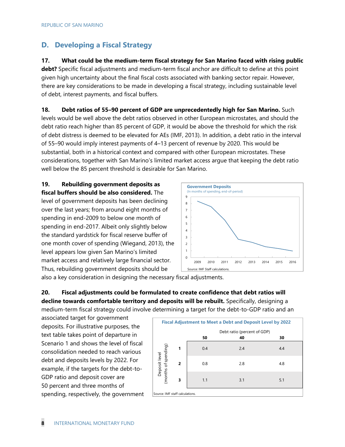#### **D. Developing a Fiscal Strategy**

**17. What could be the medium-term fiscal strategy for San Marino faced with rising public debt?** Specific fiscal adjustments and medium-term fiscal anchor are difficult to define at this point given high uncertainty about the final fiscal costs associated with banking sector repair. However, there are key considerations to be made in developing a fiscal strategy, including sustainable level of debt, interest payments, and fiscal buffers.

**18. Debt ratios of 55–90 percent of GDP are unprecedentedly high for San Marino.** Such levels would be well above the debt ratios observed in other European microstates, and should the debt ratio reach higher than 85 percent of GDP, it would be above the threshold for which the risk of debt distress is deemed to be elevated for AEs (IMF, 2013). In addition, a debt ratio in the interval of 55–90 would imply interest payments of 4–13 percent of revenue by 2020. This would be substantial, both in a historical context and compared with other European microstates. These considerations, together with San Marino's limited market access argue that keeping the debt ratio well below the 85 percent threshold is desirable for San Marino.

**19. Rebuilding government deposits as fiscal buffers should be also considered.** The level of government deposits has been declining over the last years; from around eight months of spending in end-2009 to below one month of spending in end-2017. Albeit only slightly below the standard yardstick for fiscal reserve buffer of one month cover of spending (Wiegand, 2013), the level appears low given San Marino's limited market access and relatively large financial sector. Thus, rebuilding government deposits should be



also a key consideration in designing the necessary fiscal adjustments.

**20. Fiscal adjustments could be formulated to create confidence that debt ratios will decline towards comfortable territory and deposits will be rebuilt.** Specifically, designing a medium-term fiscal strategy could involve determining a target for the debt-to-GDP ratio and an

associated target for government deposits. For illustrative purposes, the text table takes point of departure in Scenario 1 and shows the level of fiscal consolidation needed to reach various debt and deposits levels by 2022. For example, if the targets for the debt-to-GDP ratio and deposit cover are 50 percent and three months of spending, respectively, the government

| <b>Fiscal Adjustment to Meet a Debt and Deposit Level by 2022</b> |   |                             |     |     |  |  |  |
|-------------------------------------------------------------------|---|-----------------------------|-----|-----|--|--|--|
|                                                                   |   | Debt ratio (percent of GDP) |     |     |  |  |  |
|                                                                   |   | 50                          | 40  | 30  |  |  |  |
|                                                                   | 1 | 0.4                         | 2.4 | 4.4 |  |  |  |
| Deposit level<br>(months of spending)                             | 2 | 0.8                         | 2.8 | 4.8 |  |  |  |
|                                                                   | 3 | 1.1                         | 3.1 | 5.1 |  |  |  |
| Source: IMF staff calculations.                                   |   |                             |     |     |  |  |  |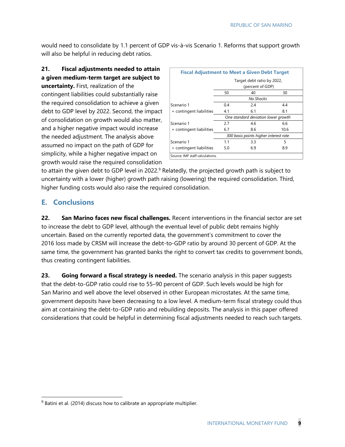would need to consolidate by 1.1 percent of GDP vis-à-vis Scenario 1. Reforms that support growth will also be helpful in reducing debt ratios.

#### **21. Fiscal adjustments needed to attain a given medium-term target are subject to**

**uncertainty.** First, realization of the contingent liabilities could substantially raise the required consolidation to achieve a given debt to GDP level by 2022. Second, the impact of consolidation on growth would also matter, and a higher negative impact would increase the needed adjustment. The analysis above assumed no impact on the path of GDP for simplicity, while a higher negative impact on growth would raise the required consolidation

| <b>Fiscal Adjustment to Meet a Given Debt Target</b> |                                       |     |      |  |  |
|------------------------------------------------------|---------------------------------------|-----|------|--|--|
| Target debt ratio by 2022,                           |                                       |     |      |  |  |
|                                                      | (percent of GDP)                      |     |      |  |  |
|                                                      | 50                                    | 40  | 30   |  |  |
|                                                      | No Shocks                             |     |      |  |  |
| Scenario 1                                           | 0.4                                   | 2.4 | 4.4  |  |  |
| + contingent liabilities                             | 4.1                                   | 6.1 | 8.1  |  |  |
|                                                      | One standard deviation lower growth   |     |      |  |  |
| Scenario 1                                           | 2.7                                   | 4.6 | 6.6  |  |  |
| + contingent liabilities                             | 6.7                                   | 8.6 | 10.6 |  |  |
|                                                      | 300 basis points higher interest rate |     |      |  |  |
| Scenario 1                                           | 1.1                                   | 3.3 | 5    |  |  |
| + contingent liabilities                             | 5.0                                   | 6.9 | 8.9  |  |  |
| Source: IMF staff calculations.                      |                                       |     |      |  |  |

to attain the given debt to GDP level in 2022.<sup>9</sup> Relatedly, the projected growth path is subject to uncertainty with a lower (higher) growth path raising (lowering) the required consolidation. Third, higher funding costs would also raise the required consolidation.

#### **E. Conclusions**

-

**22. San Marino faces new fiscal challenges.** Recent interventions in the financial sector are set to increase the debt to GDP level, although the eventual level of public debt remains highly uncertain. Based on the currently reported data, the government's commitment to cover the 2016 loss made by CRSM will increase the debt-to-GDP ratio by around 30 percent of GDP. At the same time, the government has granted banks the right to convert tax credits to government bonds, thus creating contingent liabilities.

**23. Going forward a fiscal strategy is needed.** The scenario analysis in this paper suggests that the debt-to-GDP ratio could rise to 55–90 percent of GDP. Such levels would be high for San Marino and well above the level observed in other European microstates. At the same time, government deposits have been decreasing to a low level. A medium-term fiscal strategy could thus aim at containing the debt-to-GDP ratio and rebuilding deposits. The analysis in this paper offered considerations that could be helpful in determining fiscal adjustments needed to reach such targets.

<sup>&</sup>lt;sup>9</sup> Batini et al. (2014) discuss how to calibrate an appropriate multiplier.